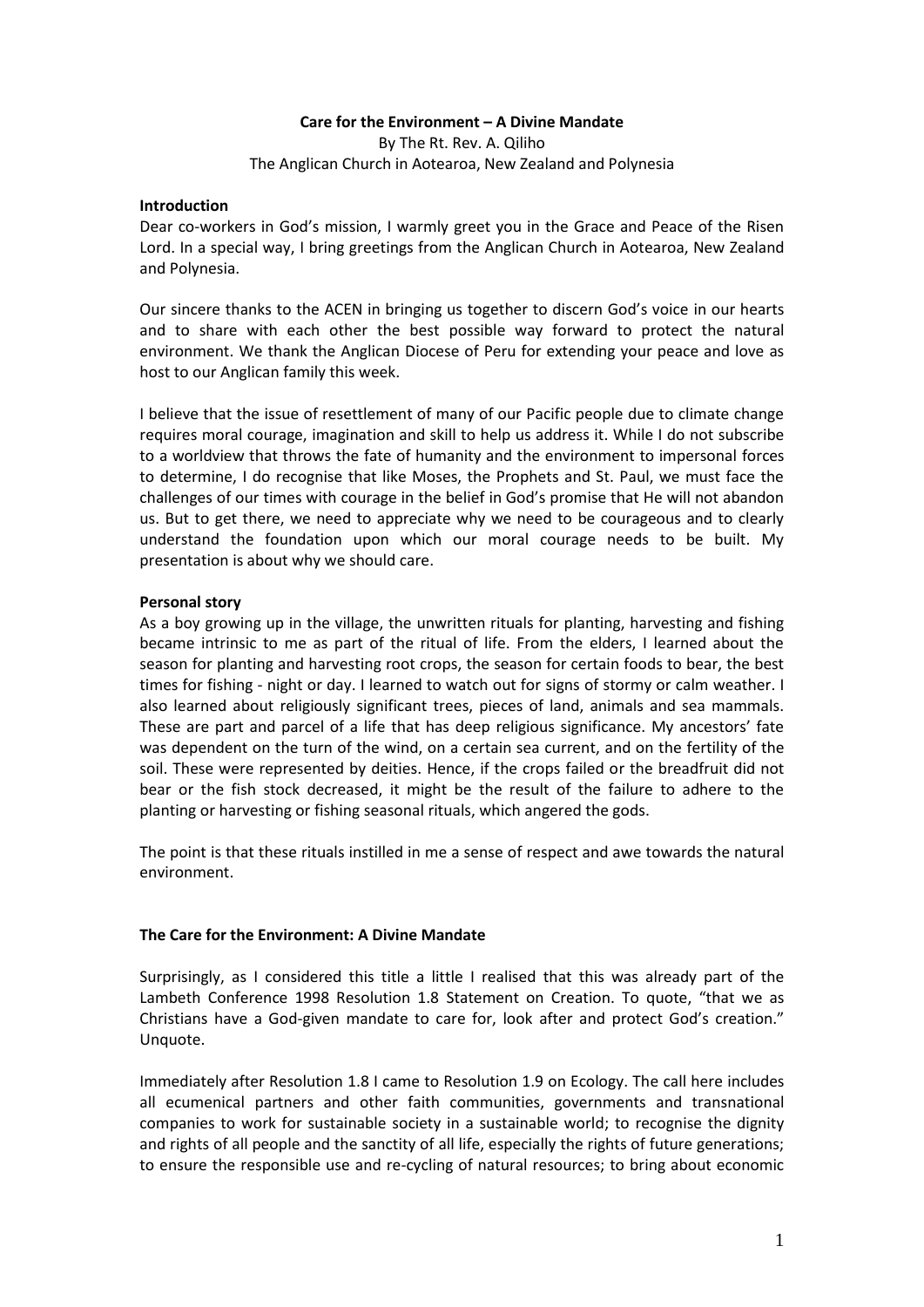### **Care for the Environment – A Divine Mandate**

By The Rt. Rev. A. Qiliho The Anglican Church in Aotearoa, New Zealand and Polynesia

#### **Introduction**

Dear co-workers in God's mission, I warmly greet you in the Grace and Peace of the Risen Lord. In a special way, I bring greetings from the Anglican Church in Aotearoa, New Zealand and Polynesia.

Our sincere thanks to the ACEN in bringing us together to discern God's voice in our hearts and to share with each other the best possible way forward to protect the natural environment. We thank the Anglican Diocese of Peru for extending your peace and love as host to our Anglican family this week.

I believe that the issue of resettlement of many of our Pacific people due to climate change requires moral courage, imagination and skill to help us address it. While I do not subscribe to a worldview that throws the fate of humanity and the environment to impersonal forces to determine, I do recognise that like Moses, the Prophets and St. Paul, we must face the challenges of our times with courage in the belief in God's promise that He will not abandon us. But to get there, we need to appreciate why we need to be courageous and to clearly understand the foundation upon which our moral courage needs to be built. My presentation is about why we should care.

#### **Personal story**

As a boy growing up in the village, the unwritten rituals for planting, harvesting and fishing became intrinsic to me as part of the ritual of life. From the elders, I learned about the season for planting and harvesting root crops, the season for certain foods to bear, the best times for fishing - night or day. I learned to watch out for signs of stormy or calm weather. I also learned about religiously significant trees, pieces of land, animals and sea mammals. These are part and parcel of a life that has deep religious significance. My ancestors' fate was dependent on the turn of the wind, on a certain sea current, and on the fertility of the soil. These were represented by deities. Hence, if the crops failed or the breadfruit did not bear or the fish stock decreased, it might be the result of the failure to adhere to the planting or harvesting or fishing seasonal rituals, which angered the gods.

The point is that these rituals instilled in me a sense of respect and awe towards the natural environment.

### **The Care for the Environment: A Divine Mandate**

Surprisingly, as I considered this title a little I realised that this was already part of the Lambeth Conference 1998 Resolution 1.8 Statement on Creation. To quote, "that we as Christians have a God-given mandate to care for, look after and protect God's creation." Unquote.

Immediately after Resolution 1.8 I came to Resolution 1.9 on Ecology. The call here includes all ecumenical partners and other faith communities, governments and transnational companies to work for sustainable society in a sustainable world; to recognise the dignity and rights of all people and the sanctity of all life, especially the rights of future generations; to ensure the responsible use and re-cycling of natural resources; to bring about economic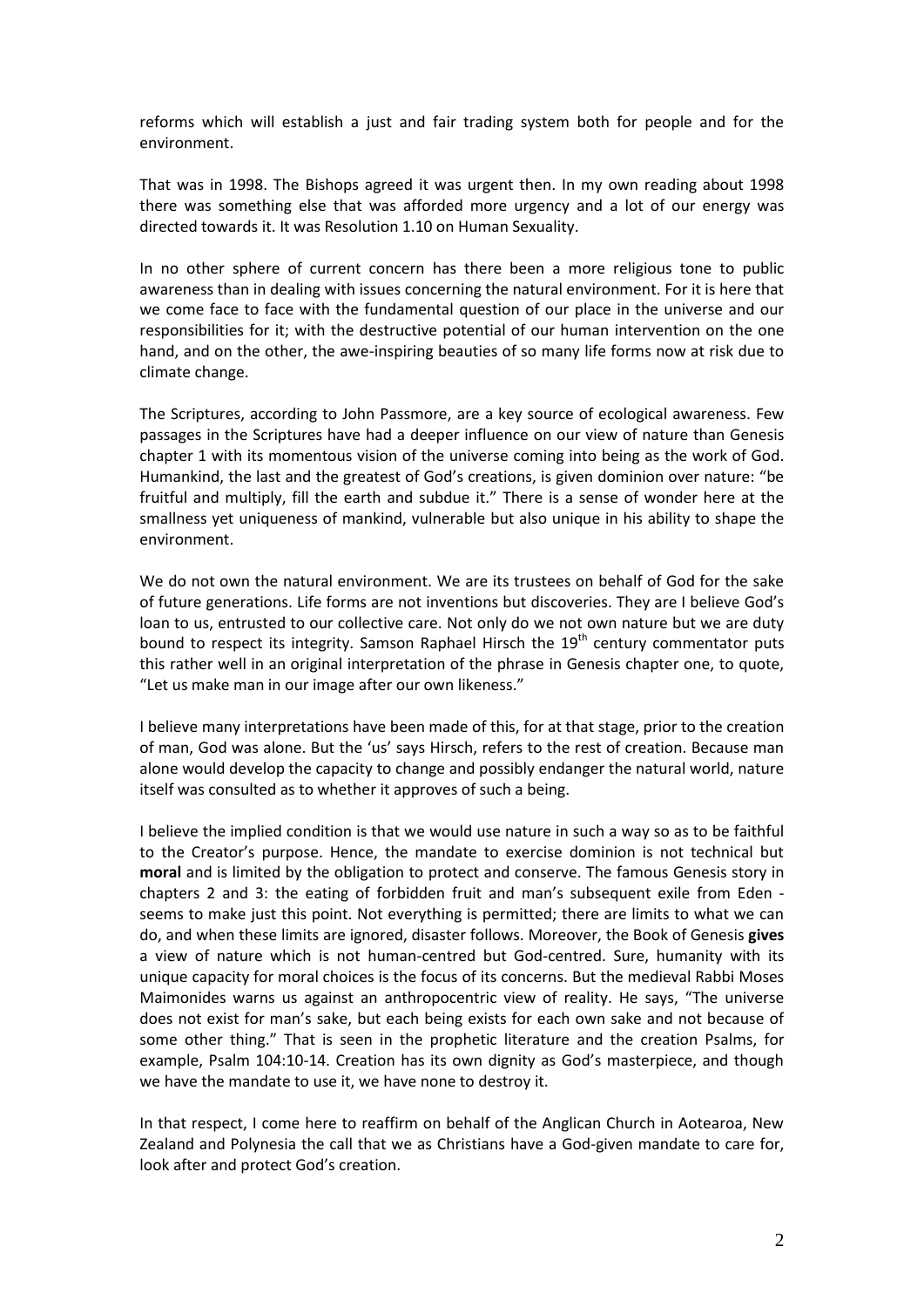reforms which will establish a just and fair trading system both for people and for the environment.

That was in 1998. The Bishops agreed it was urgent then. In my own reading about 1998 there was something else that was afforded more urgency and a lot of our energy was directed towards it. It was Resolution 1.10 on Human Sexuality.

In no other sphere of current concern has there been a more religious tone to public awareness than in dealing with issues concerning the natural environment. For it is here that we come face to face with the fundamental question of our place in the universe and our responsibilities for it; with the destructive potential of our human intervention on the one hand, and on the other, the awe-inspiring beauties of so many life forms now at risk due to climate change.

The Scriptures, according to John Passmore, are a key source of ecological awareness. Few passages in the Scriptures have had a deeper influence on our view of nature than Genesis chapter 1 with its momentous vision of the universe coming into being as the work of God. Humankind, the last and the greatest of God's creations, is given dominion over nature: "be fruitful and multiply, fill the earth and subdue it." There is a sense of wonder here at the smallness yet uniqueness of mankind, vulnerable but also unique in his ability to shape the environment.

We do not own the natural environment. We are its trustees on behalf of God for the sake of future generations. Life forms are not inventions but discoveries. They are I believe God's loan to us, entrusted to our collective care. Not only do we not own nature but we are duty bound to respect its integrity. Samson Raphael Hirsch the  $19<sup>th</sup>$  century commentator puts this rather well in an original interpretation of the phrase in Genesis chapter one, to quote, "Let us make man in our image after our own likeness."

I believe many interpretations have been made of this, for at that stage, prior to the creation of man, God was alone. But the 'us' says Hirsch, refers to the rest of creation. Because man alone would develop the capacity to change and possibly endanger the natural world, nature itself was consulted as to whether it approves of such a being.

I believe the implied condition is that we would use nature in such a way so as to be faithful to the Creator's purpose. Hence, the mandate to exercise dominion is not technical but **moral** and is limited by the obligation to protect and conserve. The famous Genesis story in chapters 2 and 3: the eating of forbidden fruit and man's subsequent exile from Eden seems to make just this point. Not everything is permitted; there are limits to what we can do, and when these limits are ignored, disaster follows. Moreover, the Book of Genesis **gives** a view of nature which is not human-centred but God-centred. Sure, humanity with its unique capacity for moral choices is the focus of its concerns. But the medieval Rabbi Moses Maimonides warns us against an anthropocentric view of reality. He says, "The universe does not exist for man's sake, but each being exists for each own sake and not because of some other thing." That is seen in the prophetic literature and the creation Psalms, for example, Psalm 104:10-14. Creation has its own dignity as God's masterpiece, and though we have the mandate to use it, we have none to destroy it.

In that respect, I come here to reaffirm on behalf of the Anglican Church in Aotearoa, New Zealand and Polynesia the call that we as Christians have a God-given mandate to care for, look after and protect God's creation.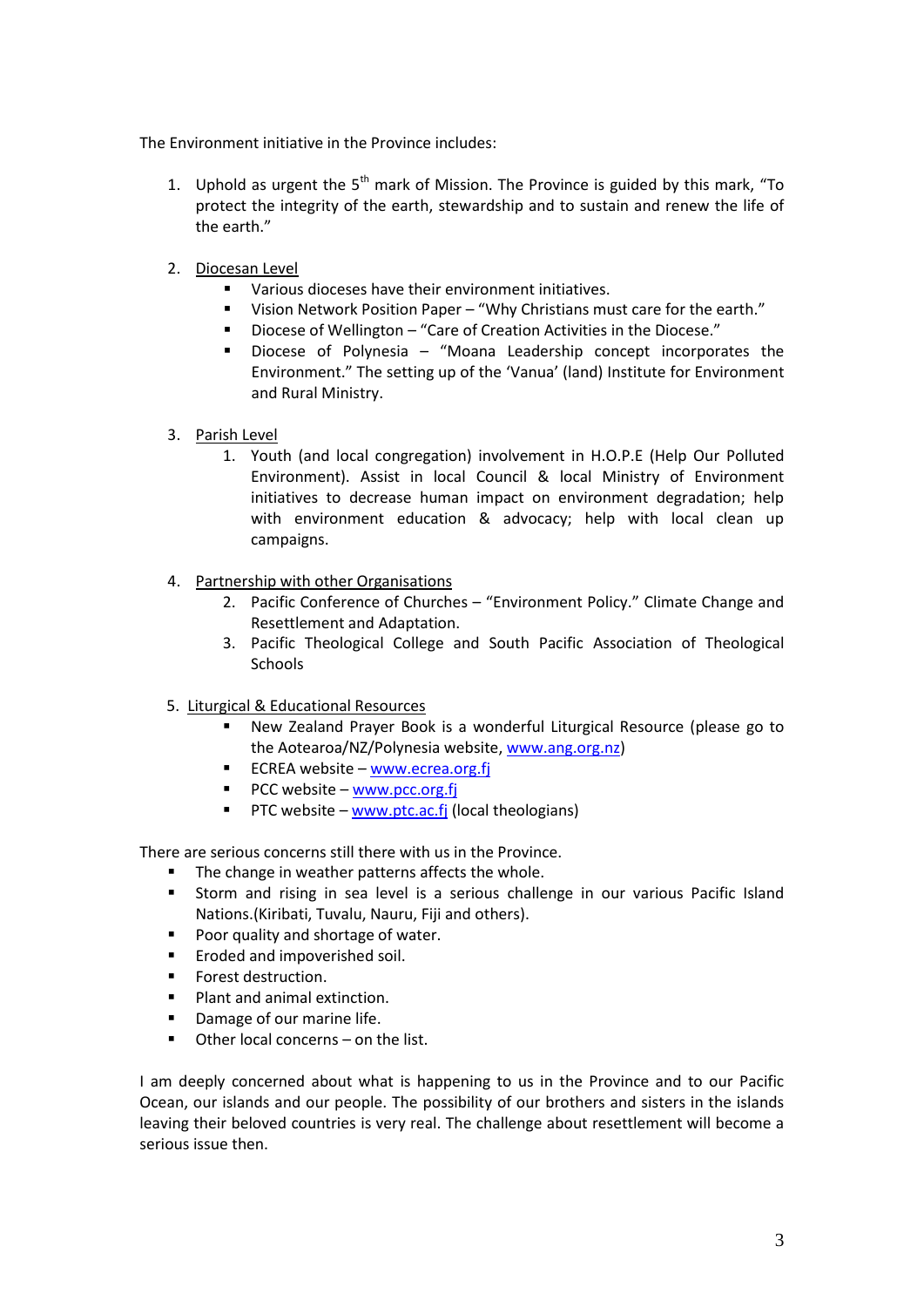The Environment initiative in the Province includes:

- 1. Uphold as urgent the  $5<sup>th</sup>$  mark of Mission. The Province is guided by this mark, "To protect the integrity of the earth, stewardship and to sustain and renew the life of the earth."
- 2. Diocesan Level
	- Various dioceses have their environment initiatives.
	- Vision Network Position Paper "Why Christians must care for the earth."
	- Diocese of Wellington "Care of Creation Activities in the Diocese."
	- Diocese of Polynesia "Moana Leadership concept incorporates the Environment." The setting up of the 'Vanua' (land) Institute for Environment and Rural Ministry.
- 3. Parish Level
	- 1. Youth (and local congregation) involvement in H.O.P.E (Help Our Polluted Environment). Assist in local Council & local Ministry of Environment initiatives to decrease human impact on environment degradation; help with environment education & advocacy; help with local clean up campaigns.
- 4. Partnership with other Organisations
	- 2. Pacific Conference of Churches "Environment Policy." Climate Change and Resettlement and Adaptation.
	- 3. Pacific Theological College and South Pacific Association of Theological **Schools**
- 5. Liturgical & Educational Resources
	- New Zealand Prayer Book is a wonderful Liturgical Resource (please go to the Aotearoa/NZ/Polynesia website, [www.ang.org.nz\)](http://www.ang.org.nz/)
	- ECREA website [www.ecrea.org.fj](http://www.ecrea.org.fj/)
	- $\blacksquare$  PCC website [www.pcc.org.fj](http://www.pcc.org.fj/)
	- **PTC** website [www.ptc.ac.fj](http://www.ptc.ac.fj/) (local theologians)

There are serious concerns still there with us in the Province.

- The change in weather patterns affects the whole.
- Storm and rising in sea level is a serious challenge in our various Pacific Island Nations.(Kiribati, Tuvalu, Nauru, Fiji and others).
- Poor quality and shortage of water.
- **Example 2** Eroded and impoverished soil.
- Forest destruction.
- **Plant and animal extinction.**
- **•** Damage of our marine life.
- Other local concerns on the list.

I am deeply concerned about what is happening to us in the Province and to our Pacific Ocean, our islands and our people. The possibility of our brothers and sisters in the islands leaving their beloved countries is very real. The challenge about resettlement will become a serious issue then.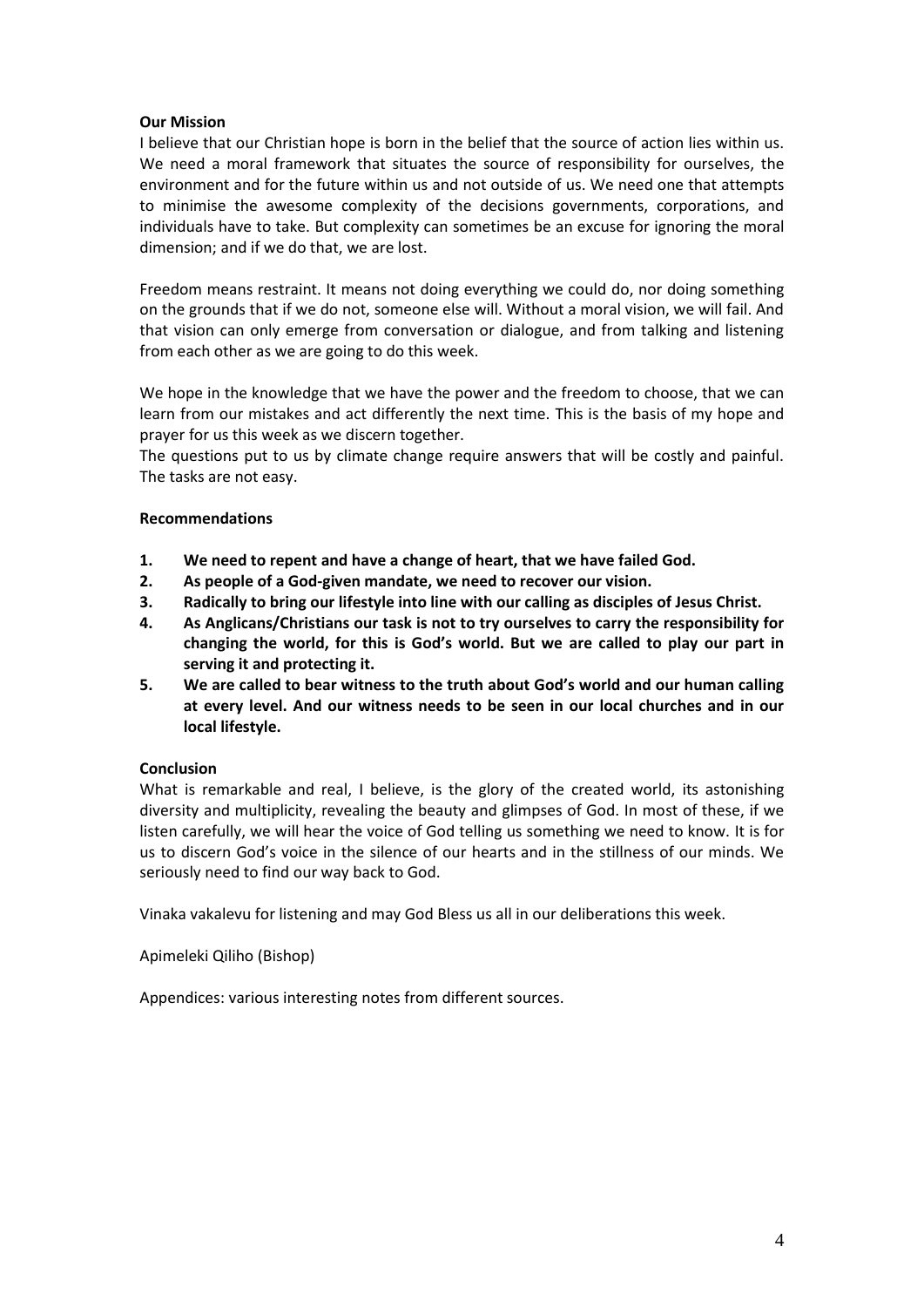## **Our Mission**

I believe that our Christian hope is born in the belief that the source of action lies within us. We need a moral framework that situates the source of responsibility for ourselves, the environment and for the future within us and not outside of us. We need one that attempts to minimise the awesome complexity of the decisions governments, corporations, and individuals have to take. But complexity can sometimes be an excuse for ignoring the moral dimension; and if we do that, we are lost.

Freedom means restraint. It means not doing everything we could do, nor doing something on the grounds that if we do not, someone else will. Without a moral vision, we will fail. And that vision can only emerge from conversation or dialogue, and from talking and listening from each other as we are going to do this week.

We hope in the knowledge that we have the power and the freedom to choose, that we can learn from our mistakes and act differently the next time. This is the basis of my hope and prayer for us this week as we discern together.

The questions put to us by climate change require answers that will be costly and painful. The tasks are not easy.

### **Recommendations**

- **1. We need to repent and have a change of heart, that we have failed God.**
- **2. As people of a God-given mandate, we need to recover our vision.**
- **3. Radically to bring our lifestyle into line with our calling as disciples of Jesus Christ.**
- **4. As Anglicans/Christians our task is not to try ourselves to carry the responsibility for changing the world, for this is God's world. But we are called to play our part in serving it and protecting it.**
- **5. We are called to bear witness to the truth about God's world and our human calling at every level. And our witness needs to be seen in our local churches and in our local lifestyle.**

### **Conclusion**

What is remarkable and real, I believe, is the glory of the created world, its astonishing diversity and multiplicity, revealing the beauty and glimpses of God. In most of these, if we listen carefully, we will hear the voice of God telling us something we need to know. It is for us to discern God's voice in the silence of our hearts and in the stillness of our minds. We seriously need to find our way back to God.

Vinaka vakalevu for listening and may God Bless us all in our deliberations this week.

Apimeleki Qiliho (Bishop)

Appendices: various interesting notes from different sources.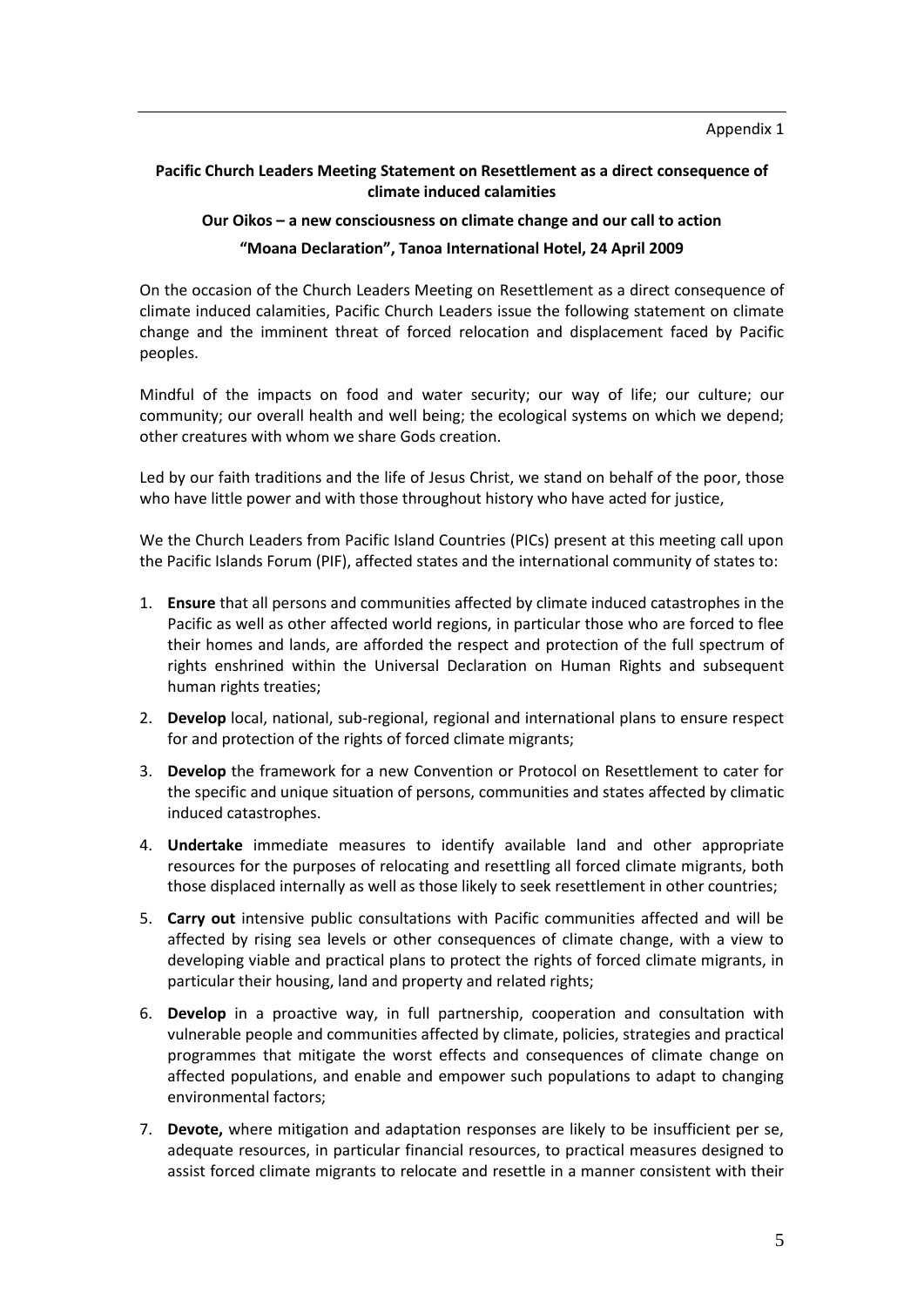## **Pacific Church Leaders Meeting Statement on Resettlement as a direct consequence of climate induced calamities**

# **Our Oikos – a new consciousness on climate change and our call to action "Moana Declaration", Tanoa International Hotel, 24 April 2009**

On the occasion of the Church Leaders Meeting on Resettlement as a direct consequence of climate induced calamities, Pacific Church Leaders issue the following statement on climate change and the imminent threat of forced relocation and displacement faced by Pacific peoples.

Mindful of the impacts on food and water security; our way of life; our culture; our community; our overall health and well being; the ecological systems on which we depend; other creatures with whom we share Gods creation.

Led by our faith traditions and the life of Jesus Christ, we stand on behalf of the poor, those who have little power and with those throughout history who have acted for justice,

We the Church Leaders from Pacific Island Countries (PICs) present at this meeting call upon the Pacific Islands Forum (PIF), affected states and the international community of states to:

- 1. **Ensure** that all persons and communities affected by climate induced catastrophes in the Pacific as well as other affected world regions, in particular those who are forced to flee their homes and lands, are afforded the respect and protection of the full spectrum of rights enshrined within the Universal Declaration on Human Rights and subsequent human rights treaties;
- 2. **Develop** local, national, sub-regional, regional and international plans to ensure respect for and protection of the rights of forced climate migrants;
- 3. **Develop** the framework for a new Convention or Protocol on Resettlement to cater for the specific and unique situation of persons, communities and states affected by climatic induced catastrophes.
- 4. **Undertake** immediate measures to identify available land and other appropriate resources for the purposes of relocating and resettling all forced climate migrants, both those displaced internally as well as those likely to seek resettlement in other countries;
- 5. **Carry out** intensive public consultations with Pacific communities affected and will be affected by rising sea levels or other consequences of climate change, with a view to developing viable and practical plans to protect the rights of forced climate migrants, in particular their housing, land and property and related rights;
- 6. **Develop** in a proactive way, in full partnership, cooperation and consultation with vulnerable people and communities affected by climate, policies, strategies and practical programmes that mitigate the worst effects and consequences of climate change on affected populations, and enable and empower such populations to adapt to changing environmental factors;
- 7. **Devote,** where mitigation and adaptation responses are likely to be insufficient per se, adequate resources, in particular financial resources, to practical measures designed to assist forced climate migrants to relocate and resettle in a manner consistent with their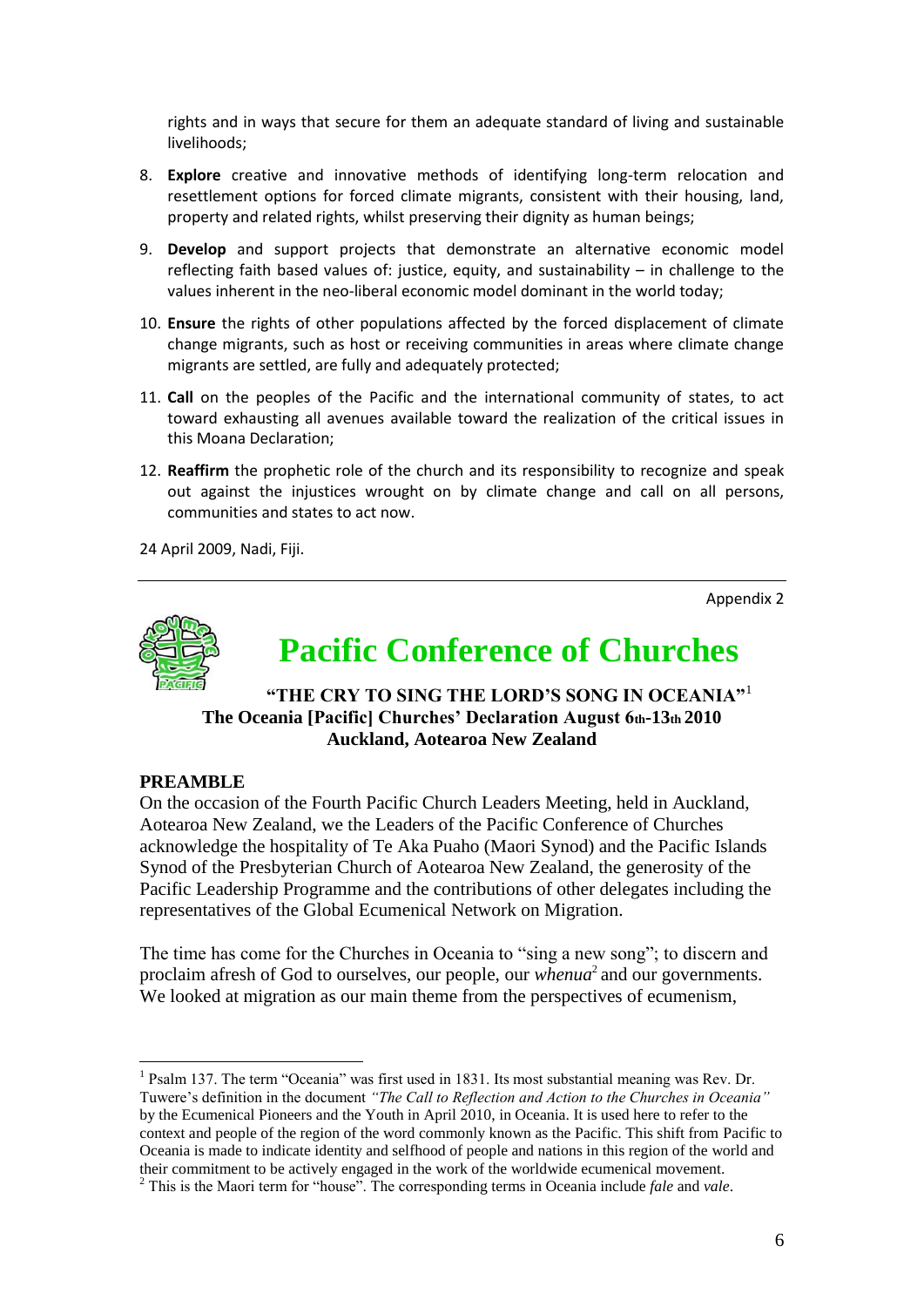rights and in ways that secure for them an adequate standard of living and sustainable livelihoods;

- 8. **Explore** creative and innovative methods of identifying long-term relocation and resettlement options for forced climate migrants, consistent with their housing, land, property and related rights, whilst preserving their dignity as human beings;
- 9. **Develop** and support projects that demonstrate an alternative economic model reflecting faith based values of: justice, equity, and sustainability – in challenge to the values inherent in the neo-liberal economic model dominant in the world today;
- 10. **Ensure** the rights of other populations affected by the forced displacement of climate change migrants, such as host or receiving communities in areas where climate change migrants are settled, are fully and adequately protected;
- 11. **Call** on the peoples of the Pacific and the international community of states, to act toward exhausting all avenues available toward the realization of the critical issues in this Moana Declaration;
- 12. **Reaffirm** the prophetic role of the church and its responsibility to recognize and speak out against the injustices wrought on by climate change and call on all persons, communities and states to act now.

24 April 2009, Nadi, Fiji.

Appendix 2



# **Pacific Conference of Churches**

# **"THE CRY TO SING THE LORD'S SONG IN OCEANIA"**<sup>1</sup> **The Oceania [Pacific] Churches' Declaration August 6th-13th 2010 Auckland, Aotearoa New Zealand**

## **PREAMBLE**

1

On the occasion of the Fourth Pacific Church Leaders Meeting, held in Auckland, Aotearoa New Zealand, we the Leaders of the Pacific Conference of Churches acknowledge the hospitality of Te Aka Puaho (Maori Synod) and the Pacific Islands Synod of the Presbyterian Church of Aotearoa New Zealand, the generosity of the Pacific Leadership Programme and the contributions of other delegates including the representatives of the Global Ecumenical Network on Migration.

The time has come for the Churches in Oceania to "sing a new song"; to discern and proclaim afresh of God to ourselves, our people, our *whenua*<sup>2</sup> and our governments. We looked at migration as our main theme from the perspectives of ecumenism,

<sup>&</sup>lt;sup>1</sup> Psalm 137. The term "Oceania" was first used in 1831. Its most substantial meaning was Rev. Dr. Tuwere"s definition in the document *"The Call to Reflection and Action to the Churches in Oceania"*  by the Ecumenical Pioneers and the Youth in April 2010, in Oceania. It is used here to refer to the context and people of the region of the word commonly known as the Pacific. This shift from Pacific to Oceania is made to indicate identity and selfhood of people and nations in this region of the world and their commitment to be actively engaged in the work of the worldwide ecumenical movement.

<sup>2</sup> This is the Maori term for "house". The corresponding terms in Oceania include *fale* and *vale*.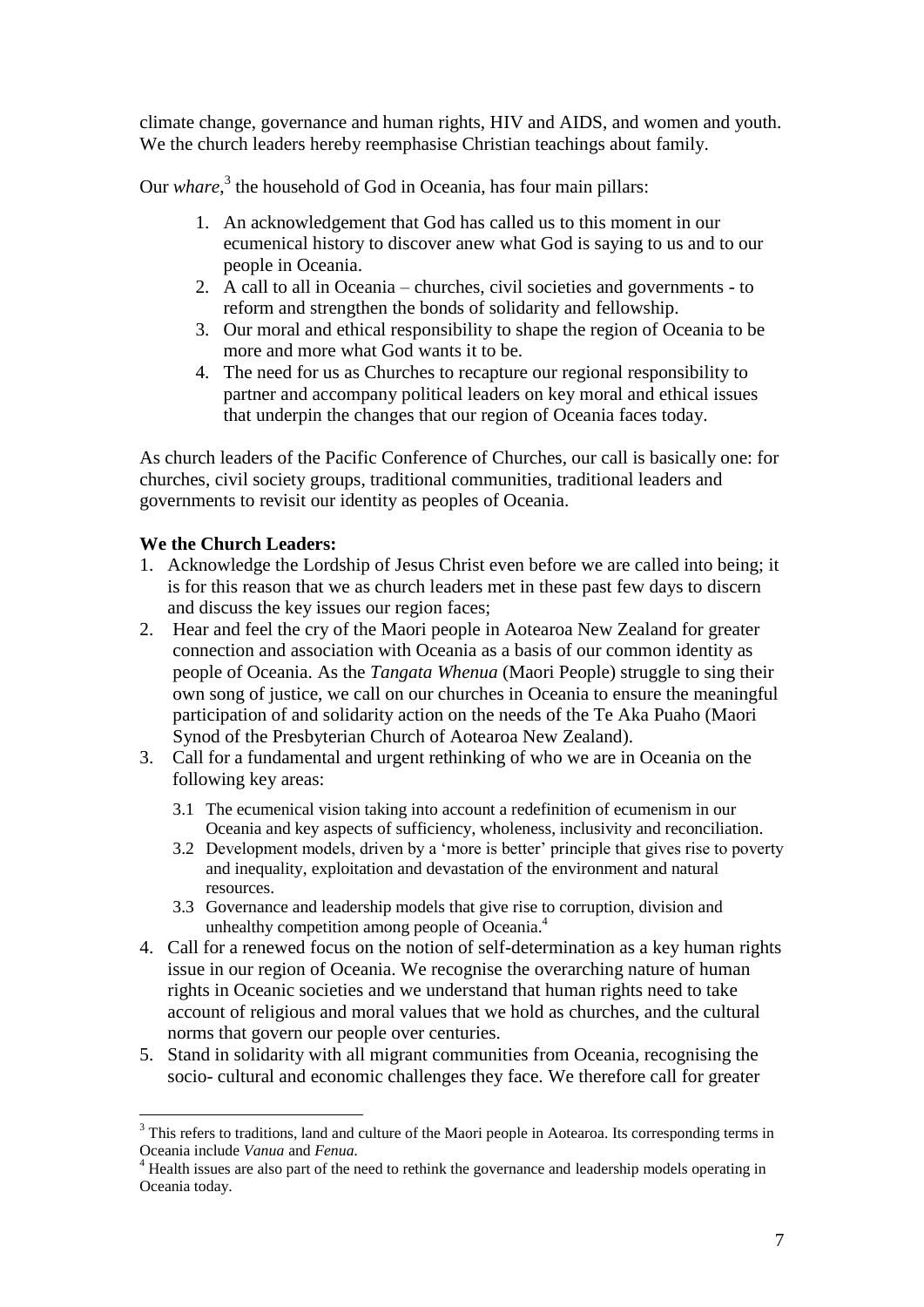climate change, governance and human rights, HIV and AIDS, and women and youth. We the church leaders hereby reemphasise Christian teachings about family.

Our *whare*,<sup>3</sup> the household of God in Oceania, has four main pillars:

- 1. An acknowledgement that God has called us to this moment in our ecumenical history to discover anew what God is saying to us and to our people in Oceania.
- 2. A call to all in Oceania churches, civil societies and governments to reform and strengthen the bonds of solidarity and fellowship.
- 3. Our moral and ethical responsibility to shape the region of Oceania to be more and more what God wants it to be.
- 4. The need for us as Churches to recapture our regional responsibility to partner and accompany political leaders on key moral and ethical issues that underpin the changes that our region of Oceania faces today.

As church leaders of the Pacific Conference of Churches, our call is basically one: for churches, civil society groups, traditional communities, traditional leaders and governments to revisit our identity as peoples of Oceania.

# **We the Church Leaders:**

1

- 1. Acknowledge the Lordship of Jesus Christ even before we are called into being; it is for this reason that we as church leaders met in these past few days to discern and discuss the key issues our region faces;
- 2. Hear and feel the cry of the Maori people in Aotearoa New Zealand for greater connection and association with Oceania as a basis of our common identity as people of Oceania. As the *Tangata Whenua* (Maori People) struggle to sing their own song of justice, we call on our churches in Oceania to ensure the meaningful participation of and solidarity action on the needs of the Te Aka Puaho (Maori Synod of the Presbyterian Church of Aotearoa New Zealand).
- 3. Call for a fundamental and urgent rethinking of who we are in Oceania on the following key areas:
	- 3.1 The ecumenical vision taking into account a redefinition of ecumenism in our Oceania and key aspects of sufficiency, wholeness, inclusivity and reconciliation.
	- 3.2 Development models, driven by a "more is better" principle that gives rise to poverty and inequality, exploitation and devastation of the environment and natural resources.
	- 3.3 Governance and leadership models that give rise to corruption, division and unhealthy competition among people of Oceania.<sup>4</sup>
- 4. Call for a renewed focus on the notion of self-determination as a key human rights issue in our region of Oceania. We recognise the overarching nature of human rights in Oceanic societies and we understand that human rights need to take account of religious and moral values that we hold as churches, and the cultural norms that govern our people over centuries.
- 5. Stand in solidarity with all migrant communities from Oceania, recognising the socio- cultural and economic challenges they face. We therefore call for greater

<sup>&</sup>lt;sup>3</sup> This refers to traditions, land and culture of the Maori people in Aotearoa. Its corresponding terms in Oceania include *Vanua* and *Fenua.*

<sup>&</sup>lt;sup>4</sup> Health issues are also part of the need to rethink the governance and leadership models operating in Oceania today.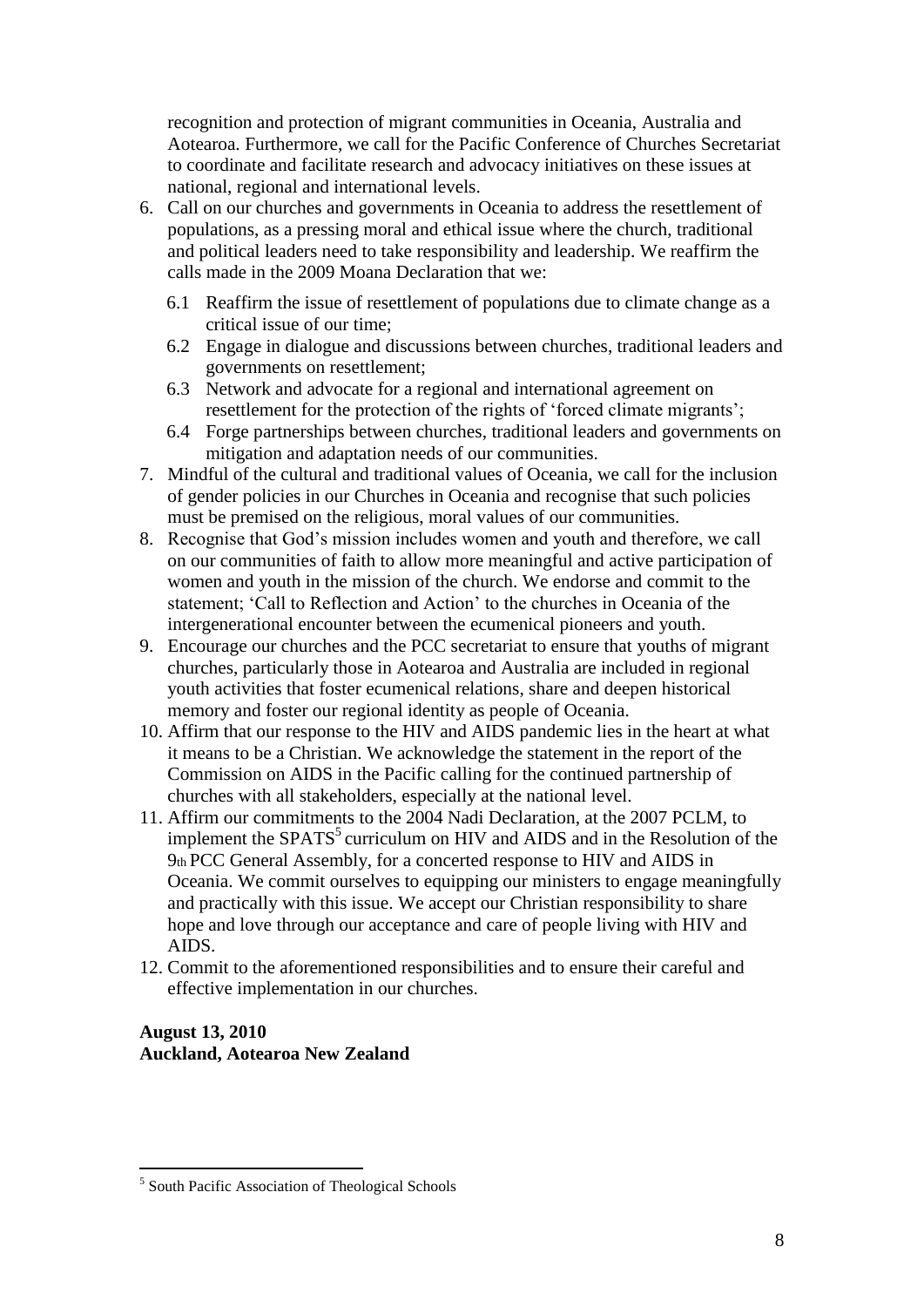recognition and protection of migrant communities in Oceania, Australia and Aotearoa. Furthermore, we call for the Pacific Conference of Churches Secretariat to coordinate and facilitate research and advocacy initiatives on these issues at national, regional and international levels.

- 6. Call on our churches and governments in Oceania to address the resettlement of populations, as a pressing moral and ethical issue where the church, traditional and political leaders need to take responsibility and leadership. We reaffirm the calls made in the 2009 Moana Declaration that we:
	- 6.1 Reaffirm the issue of resettlement of populations due to climate change as a critical issue of our time;
	- 6.2 Engage in dialogue and discussions between churches, traditional leaders and governments on resettlement;
	- 6.3 Network and advocate for a regional and international agreement on resettlement for the protection of the rights of 'forced climate migrants';
	- 6.4 Forge partnerships between churches, traditional leaders and governments on mitigation and adaptation needs of our communities.
- 7. Mindful of the cultural and traditional values of Oceania, we call for the inclusion of gender policies in our Churches in Oceania and recognise that such policies must be premised on the religious, moral values of our communities.
- 8. Recognise that God"s mission includes women and youth and therefore, we call on our communities of faith to allow more meaningful and active participation of women and youth in the mission of the church. We endorse and commit to the statement; "Call to Reflection and Action" to the churches in Oceania of the intergenerational encounter between the ecumenical pioneers and youth.
- 9. Encourage our churches and the PCC secretariat to ensure that youths of migrant churches, particularly those in Aotearoa and Australia are included in regional youth activities that foster ecumenical relations, share and deepen historical memory and foster our regional identity as people of Oceania.
- 10. Affirm that our response to the HIV and AIDS pandemic lies in the heart at what it means to be a Christian. We acknowledge the statement in the report of the Commission on AIDS in the Pacific calling for the continued partnership of churches with all stakeholders, especially at the national level.
- 11. Affirm our commitments to the 2004 Nadi Declaration, at the 2007 PCLM, to implement the  $SPATS<sup>5</sup>$  curriculum on HIV and AIDS and in the Resolution of the 9th PCC General Assembly, for a concerted response to HIV and AIDS in Oceania. We commit ourselves to equipping our ministers to engage meaningfully and practically with this issue. We accept our Christian responsibility to share hope and love through our acceptance and care of people living with HIV and AIDS.
- 12. Commit to the aforementioned responsibilities and to ensure their careful and effective implementation in our churches.

## **August 13, 2010 Auckland, Aotearoa New Zealand**

<sup>1</sup> <sup>5</sup> South Pacific Association of Theological Schools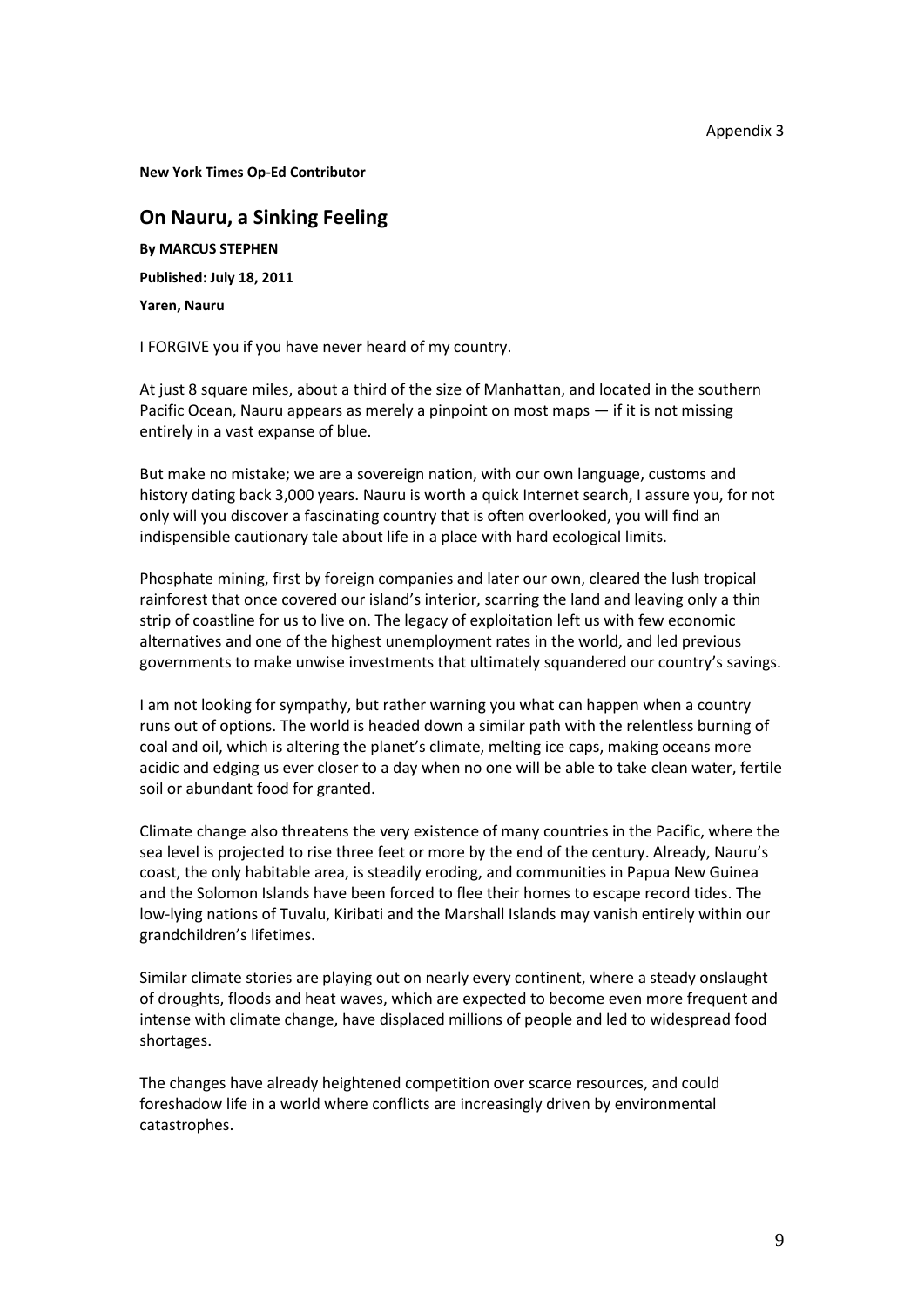**New York Times Op-Ed Contributor**

# **On Nauru, a Sinking Feeling**

**By MARCUS STEPHEN**

**Published: July 18, 2011** 

**Yaren, Nauru** 

I FORGIVE you if you have never heard of my country.

At just 8 square miles, about a third of the size of Manhattan, and located in the southern Pacific Ocean, Nauru appears as merely a pinpoint on most maps — if it is not missing entirely in a vast expanse of blue.

But make no mistake; we are a sovereign nation, with our own language, customs and history dating back 3,000 years. Nauru is worth a quick Internet search, I assure you, for not only will you discover a fascinating country that is often overlooked, you will find an indispensible cautionary tale about life in a place with hard ecological limits.

Phosphate mining, first by foreign companies and later our own, cleared the lush tropical rainforest that once covered our island's interior, scarring the land and leaving only a thin strip of coastline for us to live on. The legacy of exploitation left us with few economic alternatives and one of the highest unemployment rates in the world, and led previous governments to make unwise investments that ultimately squandered our country's savings.

I am not looking for sympathy, but rather warning you what can happen when a country runs out of options. The world is headed down a similar path with the relentless burning of coal and oil, which is altering the planet's climate, melting ice caps, making oceans more acidic and edging us ever closer to a day when no one will be able to take clean water, fertile soil or abundant food for granted.

Climate change also threatens the very existence of many countries in the Pacific, where the sea level is projected to rise three feet or more by the end of the century. Already, Nauru's coast, the only habitable area, is steadily eroding, and communities in Papua New Guinea and the Solomon Islands have been forced to flee their homes to escape record tides. The low-lying nations of Tuvalu, Kiribati and the Marshall Islands may vanish entirely within our grandchildren's lifetimes.

Similar climate stories are playing out on nearly every continent, where a steady onslaught of droughts, floods and heat waves, which are expected to become even more frequent and intense with climate change, have displaced millions of people and led to widespread food shortages.

The changes have already heightened competition over scarce resources, and could foreshadow life in a world where conflicts are increasingly driven by environmental catastrophes.